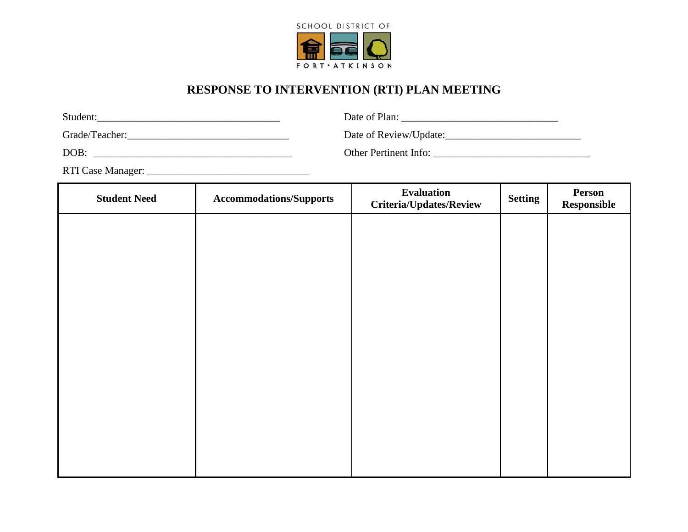

## **RESPONSE TO INTERVENTION (RTI) PLAN MEETING**

| Student:       | Date of Plan:          |
|----------------|------------------------|
| Grade/Teacher: | Date of Review/Update: |

DOB: \_\_\_\_\_\_\_\_\_\_\_\_\_\_\_\_\_\_\_\_\_\_\_\_\_\_\_\_\_\_\_\_\_\_\_\_\_\_ Other Pertinent Info: \_\_\_\_\_\_\_\_\_\_\_\_\_\_\_\_\_\_\_\_\_\_\_\_\_\_\_\_\_\_

RTI Case Manager: \_\_\_\_\_\_\_\_\_\_\_\_\_\_\_\_\_\_\_\_\_\_\_\_\_\_\_\_\_\_\_

| <b>Student Need</b> | <b>Accommodations/Supports</b> | Evaluation<br><b>Criteria/Updates/Review</b> | <b>Setting</b> | Person<br>Responsible |
|---------------------|--------------------------------|----------------------------------------------|----------------|-----------------------|
|                     |                                |                                              |                |                       |
|                     |                                |                                              |                |                       |
|                     |                                |                                              |                |                       |
|                     |                                |                                              |                |                       |
|                     |                                |                                              |                |                       |
|                     |                                |                                              |                |                       |
|                     |                                |                                              |                |                       |
|                     |                                |                                              |                |                       |
|                     |                                |                                              |                |                       |